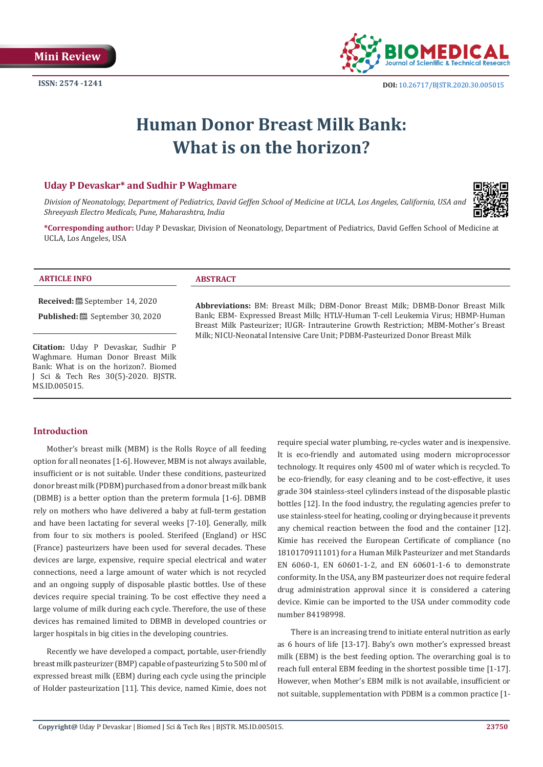

# **Human Donor Breast Milk Bank: What is on the horizon?**

## **Uday P Devaskar\* and Sudhir P Waghmare**

*Division of Neonatology, Department of Pediatrics, David Geffen School of Medicine at UCLA, Los Angeles, California, USA and Shreeyash Electro Medicals, Pune, Maharashtra, India*



**\*Corresponding author:** Uday P Devaskar, Division of Neonatology, Department of Pediatrics, David Geffen School of Medicine at UCLA, Los Angeles, USA

#### **ARTICLE INFO ABSTRACT**

**Received:** September 14, 2020

**Published:** <sup>■</sup> September 30, 2020

**Citation:** Uday P Devaskar, Sudhir P Waghmare. Human Donor Breast Milk Bank: What is on the horizon?. Biomed J Sci & Tech Res 30(5)-2020. BJSTR. MS.ID.005015.

**Abbreviations:** BM: Breast Milk; DBM-Donor Breast Milk; DBMB-Donor Breast Milk Bank; EBM- Expressed Breast Milk; HTLV-Human T-cell Leukemia Virus; HBMP-Human Breast Milk Pasteurizer; IUGR- Intrauterine Growth Restriction; MBM-Mother's Breast Milk; NICU-Neonatal Intensive Care Unit; PDBM-Pasteurized Donor Breast Milk

#### **Introduction**

Mother's breast milk (MBM) is the Rolls Royce of all feeding option for all neonates [1-6]. However, MBM is not always available, insufficient or is not suitable. Under these conditions, pasteurized donor breast milk (PDBM) purchased from a donor breast milk bank (DBMB) is a better option than the preterm formula [1-6]. DBMB rely on mothers who have delivered a baby at full-term gestation and have been lactating for several weeks [7-10]. Generally, milk from four to six mothers is pooled. Sterifeed (England) or HSC (France) pasteurizers have been used for several decades. These devices are large, expensive, require special electrical and water connections, need a large amount of water which is not recycled and an ongoing supply of disposable plastic bottles. Use of these devices require special training. To be cost effective they need a large volume of milk during each cycle. Therefore, the use of these devices has remained limited to DBMB in developed countries or larger hospitals in big cities in the developing countries.

Recently we have developed a compact, portable, user-friendly breast milk pasteurizer (BMP) capable of pasteurizing 5 to 500 ml of expressed breast milk (EBM) during each cycle using the principle of Holder pasteurization [11]. This device, named Kimie, does not require special water plumbing, re-cycles water and is inexpensive. It is eco-friendly and automated using modern microprocessor technology. It requires only 4500 ml of water which is recycled. To be eco-friendly, for easy cleaning and to be cost-effective, it uses grade 304 stainless-steel cylinders instead of the disposable plastic bottles [12]. In the food industry, the regulating agencies prefer to use stainless-steel for heating, cooling or drying because it prevents any chemical reaction between the food and the container [12]. Kimie has received the European Certificate of compliance (no 1810170911101) for a Human Milk Pasteurizer and met Standards EN 6060-1, EN 60601-1-2, and EN 60601-1-6 to demonstrate conformity. In the USA, any BM pasteurizer does not require federal drug administration approval since it is considered a catering device. Kimie can be imported to the USA under commodity code number 84198998.

There is an increasing trend to initiate enteral nutrition as early as 6 hours of life [13-17]. Baby's own mother's expressed breast milk (EBM) is the best feeding option. The overarching goal is to reach full enteral EBM feeding in the shortest possible time [1-17]. However, when Mother's EBM milk is not available, insufficient or not suitable, supplementation with PDBM is a common practice [1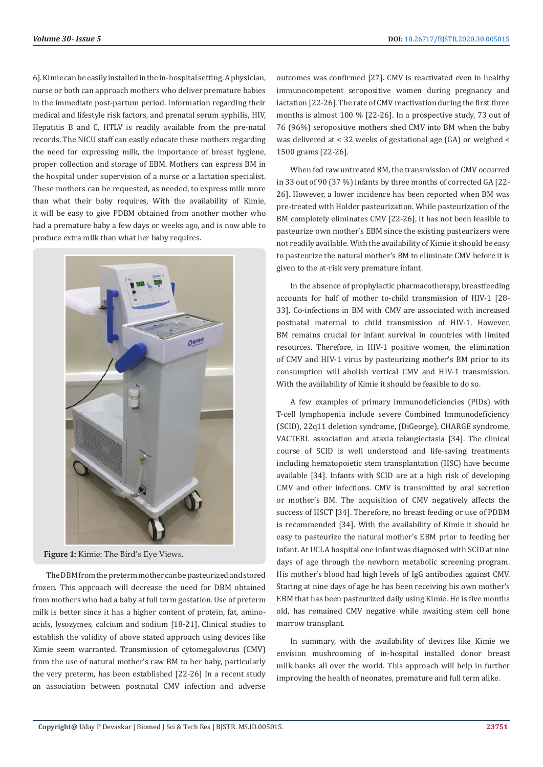6]. Kimie can be easily installed in the in-hospital setting. A physician, nurse or both can approach mothers who deliver premature babies in the immediate post-partum period. Information regarding their medical and lifestyle risk factors, and prenatal serum syphilis, HIV, Hepatitis B and C, HTLV is readily available from the pre-natal records. The NICU staff can easily educate these mothers regarding the need for expressing milk, the importance of breast hygiene, proper collection and storage of EBM. Mothers can express BM in the hospital under supervision of a nurse or a lactation specialist. These mothers can be requested, as needed, to express milk more than what their baby requires, With the availability of Kimie, it will be easy to give PDBM obtained from another mother who had a premature baby a few days or weeks ago, and is now able to produce extra milk than what her baby requires.



**Figure 1:** Kimie: The Bird's Eye Views.

The DBM from the preterm mother can be pasteurized and stored frozen. This approach will decrease the need for DBM obtained from mothers who had a baby at full term gestation. Use of preterm milk is better since it has a higher content of protein, fat, aminoacids, lysozymes, calcium and sodium [18-21]. Clinical studies to establish the validity of above stated approach using devices like Kimie seem warranted. Transmission of cytomegalovirus (CMV) from the use of natural mother's raw BM to her baby, particularly the very preterm, has been established [22-26] In a recent study an association between postnatal CMV infection and adverse outcomes was confirmed [27]. CMV is reactivated even in healthy immunocompetent seropositive women during pregnancy and lactation [22-26]. The rate of CMV reactivation during the first three months is almost 100 % [22-26]. In a prospective study, 73 out of 76 (96%) seropositive mothers shed CMV into BM when the baby was delivered at < 32 weeks of gestational age (GA) or weighed < 1500 grams [22-26].

When fed raw untreated BM, the transmission of CMV occurred in 33 out of 90 (37 %) infants by three months of corrected GA [22- 26]. However, a lower incidence has been reported when BM was pre-treated with Holder pasteurization. While pasteurization of the BM completely eliminates CMV [22-26], it has not been feasible to pasteurize own mother's EBM since the existing pasteurizers were not readily available. With the availability of Kimie it should be easy to pasteurize the natural mother's BM to eliminate CMV before it is given to the at-risk very premature infant.

In the absence of prophylactic pharmacotherapy, breastfeeding accounts for half of mother to-child transmission of HIV-1 [28- 33]. Co-infections in BM with CMV are associated with increased postnatal maternal to child transmission of HIV-1. However, BM remains crucial for infant survival in countries with limited resources. Therefore, in HIV-1 positive women, the elimination of CMV and HIV-1 virus by pasteurizing mother's BM prior to its consumption will abolish vertical CMV and HIV-1 transmission. With the availability of Kimie it should be feasible to do so.

A few examples of primary immunodeficiencies (PIDs) with T-cell lymphopenia include severe Combined Immunodeficiency (SCID), 22q11 deletion syndrome, (DiGeorge), CHARGE syndrome, VACTERL association and ataxia telangiectasia [34]. The clinical course of SCID is well understood and life-saving treatments including hematopoietic stem transplantation (HSC) have become available [34]. Infants with SCID are at a high risk of developing CMV and other infections. CMV is transmitted by oral secretion or mother's BM. The acquisition of CMV negatively affects the success of HSCT [34]. Therefore, no breast feeding or use of PDBM is recommended [34]. With the availability of Kimie it should be easy to pasteurize the natural mother's EBM prior to feeding her infant. At UCLA hospital one infant was diagnosed with SCID at nine days of age through the newborn metabolic screening program. His mother's blood had high levels of IgG antibodies against CMV. Staring at nine days of age he has been receiving his own mother's EBM that has been pasteurized daily using Kimie. He is five months old, has remained CMV negative while awaiting stem cell bone marrow transplant.

In summary, with the availability of devices like Kimie we envision mushrooming of in-hospital installed donor breast milk banks all over the world. This approach will help in further improving the health of neonates, premature and full term alike.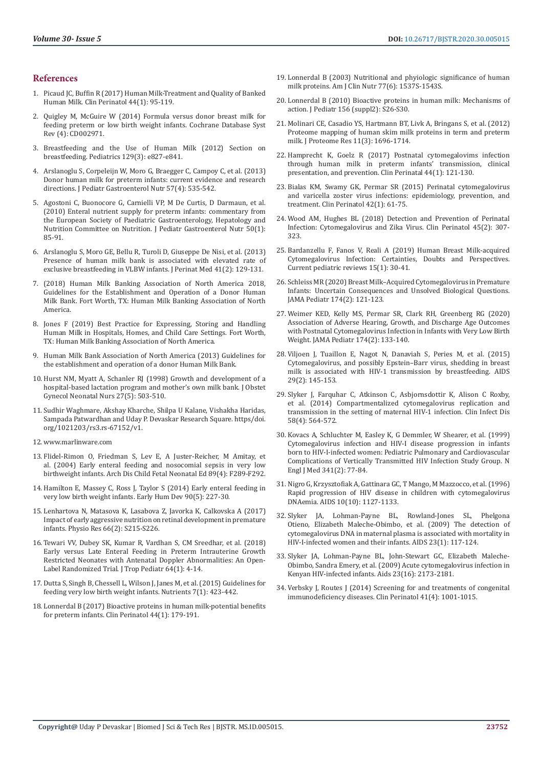#### **References**

- 1. [Picaud JC, Buffin R \(2017\) Human Milk-Treatment and Quality of Banked](https://www.prhoinsa.com/images/pdf/hsc/2017_picaud_HMtreatment.pdf)  [Human Milk. Clin Perinatol 44\(1\): 95-119.](https://www.prhoinsa.com/images/pdf/hsc/2017_picaud_HMtreatment.pdf)
- 2. [Quigley M, McGuire W \(2014\) Formula versus donor breast milk for](https://pubmed.ncbi.nlm.nih.gov/24752468/)  [feeding preterm or low birth weight infants. Cochrane Database Syst](https://pubmed.ncbi.nlm.nih.gov/24752468/)  [Rev \(4\): CD002971.](https://pubmed.ncbi.nlm.nih.gov/24752468/)
- 3. [Breastfeeding and the Use of Human Milk \(2012\) Section on](https://pediatrics.aappublications.org/content/129/3/e827)  [breastfeeding. Pediatrics 129\(3\): e827-e841.](https://pediatrics.aappublications.org/content/129/3/e827)
- 4. [Arslanoglu S, Corpeleijn W, Moro G, Braegger C, Campoy C, et al. \(2013\)](https://pubmed.ncbi.nlm.nih.gov/24084373/)  [Donor human milk for preterm infants: current evidence and research](https://pubmed.ncbi.nlm.nih.gov/24084373/)  [directions. J Pediatr Gastroenterol Nutr 57\(4\): 535-542.](https://pubmed.ncbi.nlm.nih.gov/24084373/)
- 5. [Agostoni C, Buonocore G, Carnielli VP, M De Curtis, D Darmaun, et al.](https://pubmed.ncbi.nlm.nih.gov/19881390/)  [\(2010\) Enteral nutrient supply for preterm infants: commentary from](https://pubmed.ncbi.nlm.nih.gov/19881390/)  [the European Society of Paediatric Gastroenterology, Hepatology and](https://pubmed.ncbi.nlm.nih.gov/19881390/)  [Nutrition Committee on Nutrition. J Pediatr Gastroenterol Nutr 50\(1\):](https://pubmed.ncbi.nlm.nih.gov/19881390/)  [85-91.](https://pubmed.ncbi.nlm.nih.gov/19881390/)
- 6. [Arslanoglu S, Moro GE, Bellu R, Turoli D, Giuseppe De Nisi, et al. \(2013\)](https://www.researchgate.net/publication/233930073_Presence_of_human_milk_bank_is_associated_with_elevated_rate_of_exclusive_breastfeeding_in_VLBW_infants)  [Presence of human milk bank is associated with elevated rate of](https://www.researchgate.net/publication/233930073_Presence_of_human_milk_bank_is_associated_with_elevated_rate_of_exclusive_breastfeeding_in_VLBW_infants)  [exclusive breastfeeding in VLBW infants. J Perinat Med 41\(2\): 129-131.](https://www.researchgate.net/publication/233930073_Presence_of_human_milk_bank_is_associated_with_elevated_rate_of_exclusive_breastfeeding_in_VLBW_infants)
- 7. (2018) Human Milk Banking Association of North America 2018, Guidelines for the Establishment and Operation of a Donor Human Milk Bank. Fort Worth, TX: Human Milk Banking Association of North America.
- 8. Jones F (2019) Best Practice for Expressing, Storing and Handling Human Milk in Hospitals, Homes, and Child Care Settings. Fort Worth, TX: Human Milk Banking Association of North America.
- 9. [Human Milk Bank Association of North America \(2013\) Guidelines for](https://www.hmbana.org/publications)  [the establishment and operation of a donor Human Milk Bank.](https://www.hmbana.org/publications)
- 10. [Hurst NM, Myatt A, Schanler RJ \(1998\) Growth and development of a](https://pubmed.ncbi.nlm.nih.gov/9773362/)  [hospital-based lactation program and mother's own milk bank. J Obstet](https://pubmed.ncbi.nlm.nih.gov/9773362/)  [Gynecol Neonatal Nurs 27\(5\): 503-510.](https://pubmed.ncbi.nlm.nih.gov/9773362/)
- 11. Sudhir Waghmare, Akshay Kharche, Shilpa U Kalane, Vishakha Haridas, Sampada Patwardhan and Uday P. Devaskar Research Square. https/doi. org/1021203/rs3.rs-67152/v1.
- 12. [www.marlinware.com](http://www.marlinware.com)
- 13. [Flidel-Rimon O, Friedman S, Lev E, A Juster-Reicher, M Amitay, et](https://pubmed.ncbi.nlm.nih.gov/15210657/)  [al. \(2004\) Early enteral feeding and nosocomial sepsis in very low](https://pubmed.ncbi.nlm.nih.gov/15210657/)  [birthweight infants. Arch Dis Child Fetal Neonatal Ed 89\(4\): F289-F292.](https://pubmed.ncbi.nlm.nih.gov/15210657/)
- 14. [Hamilton E, Massey C, Ross J, Taylor S \(2014\) Early enteral feeding in](https://pubmed.ncbi.nlm.nih.gov/24612934/)  [very low birth weight infants. Early Hum Dev 90\(5\): 227-30.](https://pubmed.ncbi.nlm.nih.gov/24612934/)
- 15. [Lenhartova N, Matasova K, Lasabova Z, Javorka K, Calkovska A \(2017\)](https://www.researchgate.net/publication/325112529_Impact_of_Early_Aggressive_Nutrition_on_Retinal_Development_in_Premature_Infants)  [Impact of early aggressive nutrition on retinal development in premature](https://www.researchgate.net/publication/325112529_Impact_of_Early_Aggressive_Nutrition_on_Retinal_Development_in_Premature_Infants)  [infants. Physio Res 66\(2\): S215-S226.](https://www.researchgate.net/publication/325112529_Impact_of_Early_Aggressive_Nutrition_on_Retinal_Development_in_Premature_Infants)
- 16. [Tewari VV, Dubey SK, Kumar R, Vardhan S, CM Sreedhar, et al. \(2018\)](https://pubmed.ncbi.nlm.nih.gov/28369652/)  [Early versus Late Enteral Feeding in Preterm Intrauterine Growth](https://pubmed.ncbi.nlm.nih.gov/28369652/)  [Restricted Neonates with Antenatal Doppler Abnormalities: An Open-](https://pubmed.ncbi.nlm.nih.gov/28369652/)[Label Randomized Trial. J Trop Pediatr 64\(1\): 4-14.](https://pubmed.ncbi.nlm.nih.gov/28369652/)
- 17. [Dutta S, Singh B, Chessell L, Wilson J, Janes M, et al. \(2015\) Guidelines for](https://pubmed.ncbi.nlm.nih.gov/25580815/)  [feeding very low birth weight infants. Nutrients 7\(1\): 423-442.](https://pubmed.ncbi.nlm.nih.gov/25580815/)
- 18. [Lonnerdal B \(2017\) Bioactive proteins in human milk-potential benefits](https://pubmed.ncbi.nlm.nih.gov/28159205/)  [for preterm infants. Clin Perinatol 44\(1\): 179-191.](https://pubmed.ncbi.nlm.nih.gov/28159205/)
- 19. [Lonnerdal B \(2003\) Nutritional and phyiologic significance of human](https://pubmed.ncbi.nlm.nih.gov/12812151/) [milk proteins. Am J Clin Nutr 77\(6\): 1537S-1543S.](https://pubmed.ncbi.nlm.nih.gov/12812151/)
- 20. [Lonnerdal B \(2010\) Bioactive proteins in human milk: Mechanisms of](https://pubmed.ncbi.nlm.nih.gov/20105661/) [action. J Pediatr 156 \(suppl2\): S26-S30.](https://pubmed.ncbi.nlm.nih.gov/20105661/)
- 21. [Molinari CE, Casadio YS, Hartmann BT, Livk A, Bringans S, et al. \(2012\)](https://pubmed.ncbi.nlm.nih.gov/22309230/) [Proteome mapping of human skim milk proteins in term and preterm](https://pubmed.ncbi.nlm.nih.gov/22309230/) [milk. J Proteome Res 11\(3\): 1696-1714.](https://pubmed.ncbi.nlm.nih.gov/22309230/)
- 22. [Hamprecht K, Goelz R \(2017\) Postnatal cytomegalovims infection](https://pubmed.ncbi.nlm.nih.gov/28159200/) [through human milk in preterm infants' transmission, clinical](https://pubmed.ncbi.nlm.nih.gov/28159200/) [presentation, and prevention. Clin Perinatal 44\(1\): 121-130.](https://pubmed.ncbi.nlm.nih.gov/28159200/)
- 23. [Bialas KM, Swamy GK, Permar SR \(2015\) Perinatal cytomegalovirus](https://pubmed.ncbi.nlm.nih.gov/25677997/) [and varicella zoster virus infections: epidemiology, prevention, and](https://pubmed.ncbi.nlm.nih.gov/25677997/) [treatment. Clin Perinatol 42\(1\): 61-75.](https://pubmed.ncbi.nlm.nih.gov/25677997/)
- 24. [Wood AM, Hughes BL \(2018\) Detection and Prevention of Perinatal](https://pubmed.ncbi.nlm.nih.gov/29747890/) [Infection: Cytomegalovirus and Zika Virus. Clin Perinatol 45\(2\): 307-](https://pubmed.ncbi.nlm.nih.gov/29747890/) [323.](https://pubmed.ncbi.nlm.nih.gov/29747890/)
- 25. [Bardanzellu F, Fanos V, Reali A \(2019\) Human Breast Milk-acquired](https://pubmed.ncbi.nlm.nih.gov/30474531/) [Cytomegalovirus Infection: Certainties, Doubts and Perspectives.](https://pubmed.ncbi.nlm.nih.gov/30474531/) [Current pediatric reviews 15\(1\): 30-41.](https://pubmed.ncbi.nlm.nih.gov/30474531/)
- 26. [Schleiss MR \(2020\) Breast Milk–Acquired Cytomegalovirus in Premature](https://pubmed.ncbi.nlm.nih.gov/31790538/) [Infants: Uncertain Consequences and Unsolved Biological Questions.](https://pubmed.ncbi.nlm.nih.gov/31790538/) [JAMA Pediatr 174\(2\): 121-123.](https://pubmed.ncbi.nlm.nih.gov/31790538/)
- 27. [Weimer KED, Kelly MS, Permar SR, Clark RH, Greenberg RG \(2020\)](https://pubmed.ncbi.nlm.nih.gov/31790557/) [Association of Adverse Hearing, Growth, and Discharge Age Outcomes](https://pubmed.ncbi.nlm.nih.gov/31790557/) [with Postnatal Cytomegalovirus Infection in Infants with Very Low Birth](https://pubmed.ncbi.nlm.nih.gov/31790557/) [Weight. JAMA Pediatr 174\(2\): 133-140.](https://pubmed.ncbi.nlm.nih.gov/31790557/)
- 28. [Viljoen J, Tuaillon E, Nagot N, Danaviah S, Peries M, et al. \(2015\)](https://pubmed.ncbi.nlm.nih.gov/25535751/) [Cytomegalovirus, and possibly Epstein–Barr virus, shedding in breast](https://pubmed.ncbi.nlm.nih.gov/25535751/) [milk is associated with HIV-1 transmission by breastfeeding. AIDS](https://pubmed.ncbi.nlm.nih.gov/25535751/) [29\(2\): 145-153.](https://pubmed.ncbi.nlm.nih.gov/25535751/)
- 29. [Slyker J, Farquhar C, Atkinson C, Asbjornsdottir K, Alison C Roxby,](https://www.researchgate.net/publication/258313885_Compartmentalized_Cytomegalovirus_Replication_and_Transmission_in_the_Setting_of_Maternal_HIV-1_Infection) [et al. \(2014\) Compartmentalized cytomegalovirus replication and](https://www.researchgate.net/publication/258313885_Compartmentalized_Cytomegalovirus_Replication_and_Transmission_in_the_Setting_of_Maternal_HIV-1_Infection) [transmission in the setting of maternal HIV-1 infection. Clin Infect Dis](https://www.researchgate.net/publication/258313885_Compartmentalized_Cytomegalovirus_Replication_and_Transmission_in_the_Setting_of_Maternal_HIV-1_Infection) [58\(4\): 564-572.](https://www.researchgate.net/publication/258313885_Compartmentalized_Cytomegalovirus_Replication_and_Transmission_in_the_Setting_of_Maternal_HIV-1_Infection)
- 30. [Kovacs A, Schluchter M, Easley K, G Demmler, W Shearer, et al. \(1999\)](https://pubmed.ncbi.nlm.nih.gov/10395631/) [Cytomegalovirus infection and HIV-I disease progression in infants](https://pubmed.ncbi.nlm.nih.gov/10395631/) [born to HIV-I-infected women: Pediatric Pulmonary and Cardiovascular](https://pubmed.ncbi.nlm.nih.gov/10395631/) [Complications of Vertically Transmitted HIV Infection Study Group. N](https://pubmed.ncbi.nlm.nih.gov/10395631/) [Engl J Med 341\(2\): 77-84.](https://pubmed.ncbi.nlm.nih.gov/10395631/)
- 31. [Nigro G, Krzysztofiak A, Gattinara GC, T Mango, M Mazzocco, et al. \(1996\)](https://pubmed.ncbi.nlm.nih.gov/8874630/) [Rapid progression of HIV disease in children with cytomegalovirus](https://pubmed.ncbi.nlm.nih.gov/8874630/) [DNAemia. AIDS 10\(10\): 1127-1133.](https://pubmed.ncbi.nlm.nih.gov/8874630/)
- 32. [Slyker JA, Lohman-Payne BL, Rowland-Jones SL, Phelgona](https://pubmed.ncbi.nlm.nih.gov/19050393/) [Otieno, Elizabeth Maleche-Obimbo, et al. \(2009\) The detection of](https://pubmed.ncbi.nlm.nih.gov/19050393/) [cytomegalovirus DNA in maternal plasma is associated with mortality in](https://pubmed.ncbi.nlm.nih.gov/19050393/) [HIV-I-infected women and their infants. AIDS 23\(1\): 117-124.](https://pubmed.ncbi.nlm.nih.gov/19050393/)
- 33. [Slyker JA, Lohman-Payne BL, John-Stewart GC, Elizabeth Maleche-](https://www.ncbi.nlm.nih.gov/pmc/articles/PMC2761509/)[Obimbo, Sandra Emery, et al. \(2009\) Acute cytomegalovirus infection in](https://www.ncbi.nlm.nih.gov/pmc/articles/PMC2761509/) [Kenyan HIV-infected infants. Aids 23\(16\): 2173-2181.](https://www.ncbi.nlm.nih.gov/pmc/articles/PMC2761509/)
- 34. [Verbsky J, Routes J \(2014\) Screening for and treatments of congenital](https://pubmed.ncbi.nlm.nih.gov/25459787/) [immunodeficiency diseases. Clin Perinatol 41\(4\): 1001-1015.](https://pubmed.ncbi.nlm.nih.gov/25459787/)